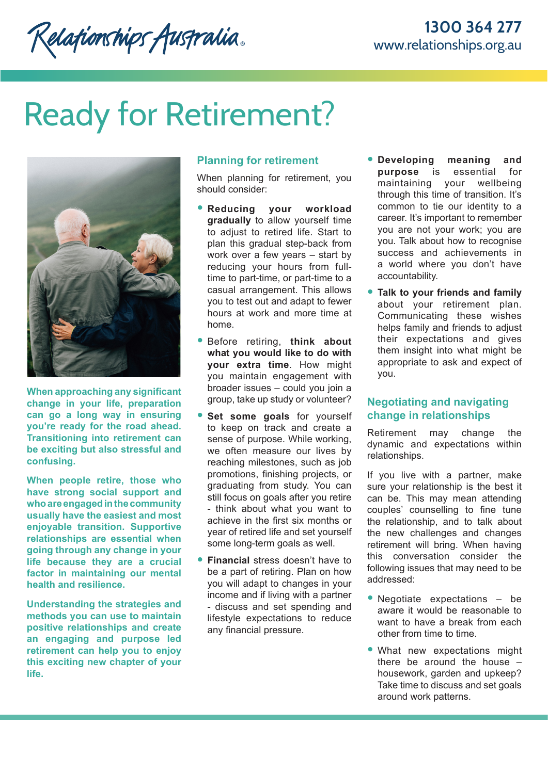Relationships Australia.

# Ready for Retirement?



**When approaching any significant change in your life, preparation can go a long way in ensuring you're ready for the road ahead. Transitioning into retirement can be exciting but also stressful and confusing.** 

**When people retire, those who have strong social support and who are engaged in the community usually have the easiest and most enjoyable transition. Supportive relationships are essential when going through any change in your life because they are a crucial factor in maintaining our mental health and resilience.**

**Understanding the strategies and methods you can use to maintain positive relationships and create an engaging and purpose led retirement can help you to enjoy this exciting new chapter of your life.**

# **Planning for retirement**

When planning for retirement, you should consider:

- **Reducing your workload gradually** to allow yourself time to adjust to retired life. Start to plan this gradual step-back from work over a few years – start by reducing your hours from fulltime to part-time, or part-time to a casual arrangement. This allows you to test out and adapt to fewer hours at work and more time at home.
- Before retiring, **think about what you would like to do with your extra time**. How might you maintain engagement with broader issues – could you join a group, take up study or volunteer?
- Set some goals for yourself to keep on track and create a sense of purpose. While working, we often measure our lives by reaching milestones, such as job promotions, finishing projects, or graduating from study. You can still focus on goals after you retire - think about what you want to achieve in the first six months or year of retired life and set yourself some long-term goals as well.
- **Financial** stress doesn't have to be a part of retiring. Plan on how you will adapt to changes in your income and if living with a partner - discuss and set spending and lifestyle expectations to reduce any financial pressure.
- **Developing meaning and purpose** is essential for maintaining your wellbeing through this time of transition. It's common to tie our identity to a career. It's important to remember you are not your work; you are you. Talk about how to recognise success and achievements in a world where you don't have accountability.
- **Talk to your friends and family**  about your retirement plan. Communicating these wishes helps family and friends to adjust their expectations and gives them insight into what might be appropriate to ask and expect of you.

# **Negotiating and navigating change in relationships**

Retirement may change the dynamic and expectations within relationships.

If you live with a partner, make sure your relationship is the best it can be. This may mean attending couples' counselling to fine tune the relationship, and to talk about the new challenges and changes retirement will bring. When having this conversation consider the following issues that may need to be addressed:

- Negotiate expectations be aware it would be reasonable to want to have a break from each other from time to time.
- What new expectations might there be around the house – housework, garden and upkeep? Take time to discuss and set goals around work patterns.